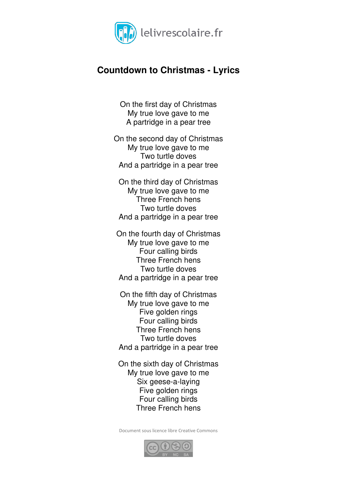

## **Countdown to Christmas - Lyrics**

On the first day of Christmas My true love gave to me A partridge in a pear tree

On the second day of Christmas My true love gave to me Two turtle doves And a partridge in a pear tree

On the third day of Christmas My true love gave to me Three French hens Two turtle doves And a partridge in a pear tree

On the fourth day of Christmas My true love gave to me Four calling birds Three French hens Two turtle doves And a partridge in a pear tree

On the fifth day of Christmas My true love gave to me Five golden rings Four calling birds Three French hens Two turtle doves And a partridge in a pear tree

On the sixth day of Christmas My true love gave to me Six geese-a-laying Five golden rings Four calling birds Three French hens

Document sous licence libre Creative Commons